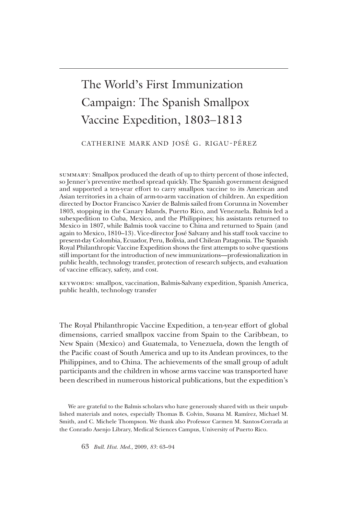# The World's First Immunization Campaign: The Spanish Smallpox Vaccine Expedition, 1803–1813

CATHERINE MARK AND JOSÉ <sup>G</sup>. RIGAU-PÉREZ

Summary: Smallpox produced the death of up to thirty percent of those infected, so Jenner's preventive method spread quickly. The Spanish government designed and supported a ten-year effort to carry smallpox vaccine to its American and Asian territories in a chain of arm-to-arm vaccination of children. An expedition directed by Doctor Francisco Xavier de Balmis sailed from Corunna in November 1803, stopping in the Canary Islands, Puerto Rico, and Venezuela. Balmis led a subexpedition to Cuba, Mexico, and the Philippines; his assistants returned to Mexico in 1807, while Balmis took vaccine to China and returned to Spain (and again to Mexico, 1810–13). Vice-director José Salvany and his staff took vaccine to present-day Colombia, Ecuador, Peru, Bolivia, and Chilean Patagonia. The Spanish Royal Philanthropic Vaccine Expedition shows the first attempts to solve questions still important for the introduction of new immunizations—professionalization in public health, technology transfer, protection of research subjects, and evaluation of vaccine efficacy, safety, and cost.

Keywords: smallpox, vaccination, Balmis-Salvany expedition, Spanish America, public health, technology transfer

The Royal Philanthropic Vaccine Expedition, a ten-year effort of global dimensions, carried smallpox vaccine from Spain to the Caribbean, to New Spain (Mexico) and Guatemala, to Venezuela, down the length of the Pacific coast of South America and up to its Andean provinces, to the Philippines, and to China. The achievements of the small group of adult participants and the children in whose arms vaccine was transported have been described in numerous historical publications, but the expedition's

We are grateful to the Balmis scholars who have generously shared with us their unpublished materials and notes, especially Thomas B. Colvin, Susana M. Ramírez, Michael M. Smith, and C. Michele Thompson. We thank also Professor Carmen M. Santos-Corrada at the Conrado Asenjo Library, Medical Sciences Campus, University of Puerto Rico.

63 *Bull. Hist. Med.,* 2009, *83* : 63–94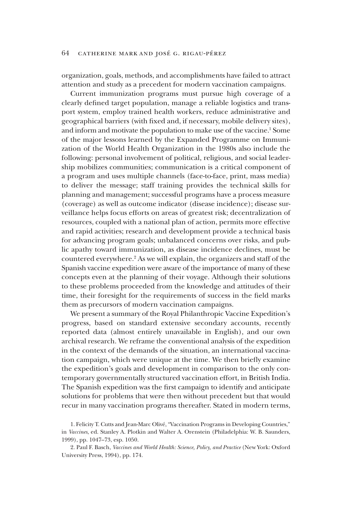organization, goals, methods, and accomplishments have failed to attract attention and study as a precedent for modern vaccination campaigns.

Current immunization programs must pursue high coverage of a clearly defined target population, manage a reliable logistics and transport system, employ trained health workers, reduce administrative and geographical barriers (with fixed and, if necessary, mobile delivery sites), and inform and motivate the population to make use of the vaccine.<sup>1</sup> Some of the major lessons learned by the Expanded Programme on Immunization of the World Health Organization in the 1980s also include the following: personal involvement of political, religious, and social leadership mobilizes communities; communication is a critical component of a program and uses multiple channels (face-to-face, print, mass media) to deliver the message; staff training provides the technical skills for planning and management; successful programs have a process measure (coverage) as well as outcome indicator (disease incidence); disease surveillance helps focus efforts on areas of greatest risk; decentralization of resources, coupled with a national plan of action, permits more effective and rapid activities; research and development provide a technical basis for advancing program goals; unbalanced concerns over risks, and public apathy toward immunization, as disease incidence declines, must be countered everywhere.<sup>2</sup> As we will explain, the organizers and staff of the Spanish vaccine expedition were aware of the importance of many of these concepts even at the planning of their voyage. Although their solutions to these problems proceeded from the knowledge and attitudes of their time, their foresight for the requirements of success in the field marks them as precursors of modern vaccination campaigns.

We present a summary of the Royal Philanthropic Vaccine Expedition's progress, based on standard extensive secondary accounts, recently reported data (almost entirely unavailable in English), and our own archival research. We reframe the conventional analysis of the expedition in the context of the demands of the situation, an international vaccination campaign, which were unique at the time. We then briefly examine the expedition's goals and development in comparison to the only contemporary governmentally structured vaccination effort, in British India. The Spanish expedition was the first campaign to identify and anticipate solutions for problems that were then without precedent but that would recur in many vaccination programs thereafter. Stated in modern terms,

<sup>1.</sup> Felicity T. Cutts and Jean-Marc Olivé, "Vaccination Programs in Developing Countries," in *Vaccines*, ed. Stanley A. Plotkin and Walter A. Orenstein (Philadelphia: W. B. Saunders, 1999), pp. 1047–73, esp. 1050.

<sup>2.</sup> Paul F. Basch, *Vaccines and World Health: Science, Policy, and Practice* (New York: Oxford University Press, 1994), pp. 174.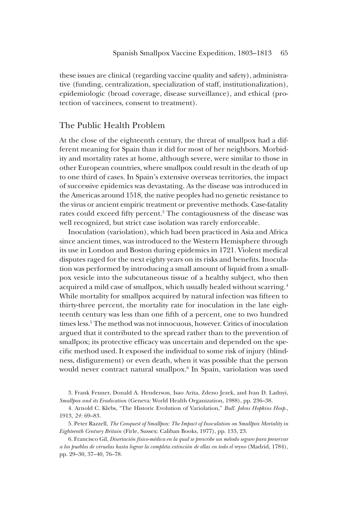these issues are clinical (regarding vaccine quality and safety), administrative (funding, centralization, specialization of staff, institutionalization), epidemiologic (broad coverage, disease surveillance), and ethical (protection of vaccinees, consent to treatment).

#### The Public Health Problem

At the close of the eighteenth century, the threat of smallpox had a different meaning for Spain than it did for most of her neighbors. Morbidity and mortality rates at home, although severe, were similar to those in other European countries, where smallpox could result in the death of up to one third of cases. In Spain's extensive overseas territories, the impact of successive epidemics was devastating. As the disease was introduced in the Americas around 1518, the native peoples had no genetic resistance to the virus or ancient empiric treatment or preventive methods. Case-fatality rates could exceed fifty percent.<sup>3</sup> The contagiousness of the disease was well recognized, but strict case isolation was rarely enforceable.

Inoculation (variolation), which had been practiced in Asia and Africa since ancient times, was introduced to the Western Hemisphere through its use in London and Boston during epidemics in 1721. Violent medical disputes raged for the next eighty years on its risks and benefits. Inoculation was performed by introducing a small amount of liquid from a smallpox vesicle into the subcutaneous tissue of a healthy subject, who then acquired a mild case of smallpox, which usually healed without scarring.<sup>4</sup> While mortality for smallpox acquired by natural infection was fifteen to thirty-three percent, the mortality rate for inoculation in the late eighteenth century was less than one fifth of a percent, one to two hundred times less.<sup>5</sup> The method was not innocuous, however. Critics of inoculation argued that it contributed to the spread rather than to the prevention of smallpox; its protective efficacy was uncertain and depended on the specific method used. It exposed the individual to some risk of injury (blindness, disfigurement) or even death, when it was possible that the person would never contract natural smallpox.<sup>6</sup> In Spain, variolation was used

3. Frank Fenner, Donald A. Henderson, Isao Arita, Zdeno Jezek, and Ivan D. Ladnyi, *Smallpox and its Eradication* (Geneva: World Health Organization, 1988), pp. 236–38.

5. Peter Razzell, *The Conquest of Smallpox: The Impact of Inoculation on Smallpox Mortality in Eighteenth Century Britain* (Firle, Sussex: Caliban Books, 1977), pp. 133, 23.

6. Francisco Gil, *Disertación físico-médica en la qual se prescribe un método seguro para preservar a los pueblos de viruelas hasta lograr la completa extinción de ellas en todo el reyno* (Madrid, 1784), pp. 29–30, 37–40, 76–78.

<sup>4.</sup> Arnold C. Klebs, "The Historic Evolution of Variolation," *Bull. Johns Hopkins Hosp.*, 1913, *24* : 69–83.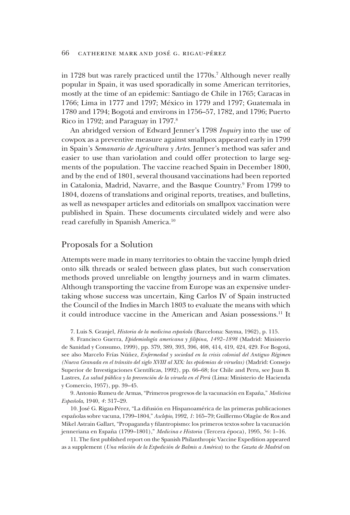in 1728 but was rarely practiced until the 1770s.<sup>7</sup> Although never really popular in Spain, it was used sporadically in some American territories, mostly at the time of an epidemic: Santiago de Chile in 1765; Caracas in 1766; Lima in 1777 and 1797; México in 1779 and 1797; Guatemala in 1780 and 1794; Bogotá and environs in 1756–57, 1782, and 1796; Puerto Rico in 1792; and Paraguay in 1797.<sup>8</sup>

An abridged version of Edward Jenner's 1798 *Inquiry* into the use of cowpox as a preventive measure against smallpox appeared early in 1799 in Spain's *Semanario de Agricultura y Artes*. Jenner's method was safer and easier to use than variolation and could offer protection to large segments of the population. The vaccine reached Spain in December 1800, and by the end of 1801, several thousand vaccinations had been reported in Catalonia, Madrid, Navarre, and the Basque Country.<sup>9</sup> From 1799 to 1804, dozens of translations and original reports, treatises, and bulletins, as well as newspaper articles and editorials on smallpox vaccination were published in Spain. These documents circulated widely and were also read carefully in Spanish America.<sup>10</sup>

### Proposals for a Solution

Attempts were made in many territories to obtain the vaccine lymph dried onto silk threads or sealed between glass plates, but such conservation methods proved unreliable on lengthy journeys and in warm climates. Although transporting the vaccine from Europe was an expensive undertaking whose success was uncertain, King Carlos IV of Spain instructed the Council of the Indies in March 1803 to evaluate the means with which it could introduce vaccine in the American and Asian possessions.<sup>11</sup> It

7. Luis S. Granjel, *Historia de la medicina española* (Barcelona: Sayma, 1962), p. 115.

8. Francisco Guerra, *Epidemiología americana y filipina, 1492–1898* (Madrid: Ministerio de Sanidad y Consumo, 1999), pp. 379, 389, 393, 396, 408, 414, 419, 424, 429. For Bogotá, see also Marcelo Frías Núñez, *Enfermedad y sociedad en la crisis colonial del Antiguo Régimen (Nueva Granada en el tránsito del siglo XVIII al XIX: las epidemias de viruelas)* (Madrid: Consejo Superior de Investigaciones Científicas, 1992), pp. 66–68; for Chile and Peru, see Juan B. Lastres, *La salud pública y la prevención de la viruela en el Perú* (Lima: Ministerio de Hacienda y Comercio, 1957), pp. 39–45.

9. Antonio Rumeu de Armas, "Primeros progresos de la vacunación en España," *Medicina Española*, 1940, *4* : 317–29.

10. José G. Rigau-Pérez, "La difusión en Hispanoamérica de las primeras publicaciones españolas sobre vacuna, 1799–1804," *Asclepio*, 1992, *1* : 165–79; Guillermo Olagüe de Ros and Mikel Astrain Gallart, "Propaganda y filantropismo: los primeros textos sobre la vacunación jenneriana en España (1799–1801)," *Medicina e Historia* (Tercera época), 1995, *56* : 1–16.

11. The first published report on the Spanish Philanthropic Vaccine Expedition appeared as a supplement (*Una relación de la Expedición de Balmis a América*) to the *Gazeta de Madrid* on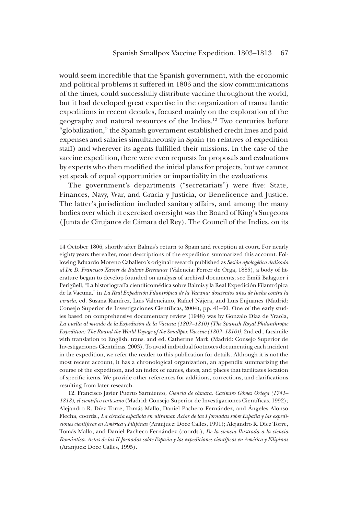would seem incredible that the Spanish government, with the economic and political problems it suffered in 1803 and the slow communications of the times, could successfully distribute vaccine throughout the world, but it had developed great expertise in the organization of transatlantic expeditions in recent decades, focused mainly on the exploration of the geography and natural resources of the Indies.<sup>12</sup> Two centuries before "globalization," the Spanish government established credit lines and paid expenses and salaries simultaneously in Spain (to relatives of expedition staff) and wherever its agents fulfilled their missions. In the case of the vaccine expedition, there were even requests for proposals and evaluations by experts who then modified the initial plans for projects, but we cannot yet speak of equal opportunities or impartiality in the evaluations.

The government's departments ("secretariats") were five: State, Finances, Navy, War, and Gracia y Justicia, or Beneficence and Justice. The latter's jurisdiction included sanitary affairs, and among the many bodies over which it exercised oversight was the Board of King's Surgeons ( Junta de Cirujanos de Cámara del Rey). The Council of the Indies, on its

<sup>14</sup> October 1806, shortly after Balmis's return to Spain and reception at court. For nearly eighty years thereafter, most descriptions of the expedition summarized this account. Following Eduardo Moreno Caballero's original research published as *Sesión apologética dedicada al Dr. D. Francisco Xavier de Balmis Berenguer* (Valencia: Ferrer de Orga, 1885), a body of literature began to develop founded on analysis of archival documents; see Emili Balaguer i Perigüell, "La historiografía cientificomédica sobre Balmis y la Real Expedición Filantrópica de la Vacuna," in *La Real Expedición Filantrópica de la Vacuna: doscientos años de lucha contra la viruela*, ed. Susana Ramírez, Luis Valenciano, Rafael Nájera, and Luis Enjuanes (Madrid: Consejo Superior de Investigaciones Científicas, 2004), pp. 41–60. One of the early studies based on comprehensive documentary review (1948) was by Gonzalo Díaz de Yraola, *La vuelta al mundo de la Expedición de la Vacuna (1803–1810) [The Spanish Royal Philanthropic Expedition: The Round-the-World Voyage of the Smallpox Vaccine (1803–1810)]*, 2nd ed., facsimile with translation to English, trans. and ed. Catherine Mark (Madrid: Consejo Superior de Investigaciones Científicas, 2003). To avoid individual footnotes documenting each incident in the expedition, we refer the reader to this publication for details. Although it is not the most recent account, it has a chronological organization, an appendix summarizing the course of the expedition, and an index of names, dates, and places that facilitates location of specific items. We provide other references for additions, corrections, and clarifications resulting from later research.

<sup>12.</sup> Francisco Javier Puerto Sarmiento, *Ciencia de cámara. Casimiro Gómez Ortega (1741– 1818), el científico cortesano* (Madrid: Consejo Superior de Investigaciones Científicas, 1992); Alejandro R. Díez Torre, Tomás Mallo, Daniel Pacheco Fernández, and Ángeles Alonso Flecha, coords., *La ciencia española en ultramar. Actas de las I Jornadas sobre España y las expediciones científicas en América y Filipinas* (Aranjuez: Doce Calles, 1991); Alejandro R. Díez Torre, Tomás Mallo, and Daniel Pacheco Fernández (coords.), *De la ciencia Ilustrada a la ciencia Romántica. Actas de las II Jornadas sobre España y las expediciones científicas en América y Filipinas* (Aranjuez: Doce Calles, 1995).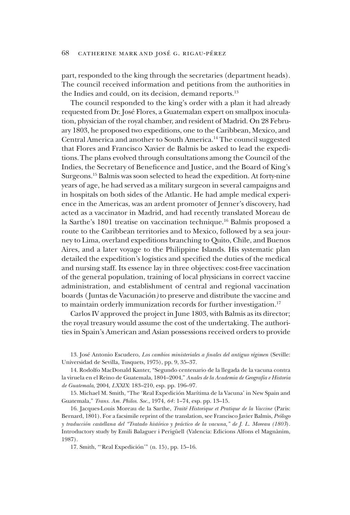part, responded to the king through the secretaries (department heads). The council received information and petitions from the authorities in the Indies and could, on its decision, demand reports.<sup>13</sup>

The council responded to the king's order with a plan it had already requested from Dr. José Flores, a Guatemalan expert on smallpox inoculation, physician of the royal chamber, and resident of Madrid. On 28 February 1803, he proposed two expeditions, one to the Caribbean, Mexico, and Central America and another to South America.<sup>14</sup> The council suggested that Flores and Francisco Xavier de Balmis be asked to lead the expeditions.The plans evolved through consultations among the Council of the Indies, the Secretary of Beneficence and Justice, and the Board of King's Surgeons.<sup>15</sup> Balmis was soon selected to head the expedition. At forty-nine years of age, he had served as a military surgeon in several campaigns and in hospitals on both sides of the Atlantic. He had ample medical experience in the Americas, was an ardent promoter of Jenner's discovery, had acted as a vaccinator in Madrid, and had recently translated Moreau de la Sarthe's 1801 treatise on vaccination technique.<sup>16</sup> Balmis proposed a route to the Caribbean territories and to Mexico, followed by a sea journey to Lima, overland expeditions branching to Quito, Chile, and Buenos Aires, and a later voyage to the Philippine Islands. His systematic plan detailed the expedition's logistics and specified the duties of the medical and nursing staff. Its essence lay in three objectives: cost-free vaccination of the general population, training of local physicians in correct vaccine administration, and establishment of central and regional vaccination boards ( Juntas de Vacunación*)* to preserve and distribute the vaccine and to maintain orderly immunization records for further investigation.<sup>17</sup>

Carlos IV approved the project in June 1803, with Balmis as its director; the royal treasury would assume the cost of the undertaking. The authorities in Spain's American and Asian possessions received orders to provide

13. José Antonio Escudero, *Los cambios ministeriales a finales del antiguo régimen* (Seville: Universidad de Sevilla, Tusquets, 1975), pp. 9, 35–37.

14. Rodolfo MacDonald Kanter, "Segundo centenario de la llegada de la vacuna contra la viruela en el Reino de Guatemala, 1804 –2004," *Anales de la Academia de Geografía e Historia de Guatemala*, 2004, *LXXIX*: 183–210, esp. pp. 196–97.

15. Michael M. Smith, "The 'Real Expedición Marítima de la Vacuna' in New Spain and Guatemala," *Trans. Am. Philos. Soc.*, 1974, *64* : 1–74, esp. pp. 13–15.

16. Jacques-Louis Moreau de la Sarthe, *Traité Historique et Pratique de la Vaccine* (Paris: Bernard, 1801). For a facsimile reprint of the translation, see Francisco Javier Balmis, *Prólogo y traducción castellana del "Tratado histórico y práctico de la vacuna," de J. L. Moreau (1803*). Introductory study by Emili Balaguer i Perigüell (Valencia: Edicions Alfons el Magnànim, 1987).

17. Smith, "'Real Expedición'" (n. 15), pp. 15–16.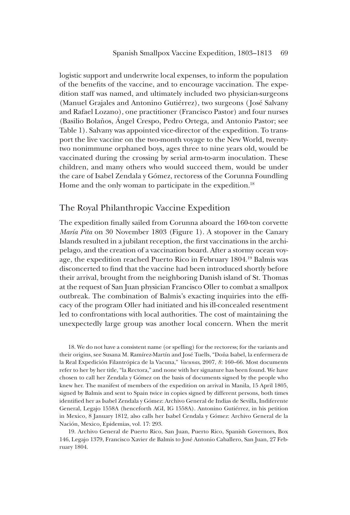logistic support and underwrite local expenses, to inform the population of the benefits of the vaccine, and to encourage vaccination. The expedition staff was named, and ultimately included two physician-surgeons (Manuel Grajales and Antonino Gutiérrez), two surgeons ( José Salvany and Rafael Lozano), one practitioner (Francisco Pastor) and four nurses (Basilio Bolaños, Ángel Crespo, Pedro Ortega, and Antonio Pastor; see Table 1). Salvany was appointed vice-director of the expedition. To transport the live vaccine on the two-month voyage to the New World, twentytwo nonimmune orphaned boys, ages three to nine years old, would be vaccinated during the crossing by serial arm-to-arm inoculation. These children, and many others who would succeed them, would be under the care of Isabel Zendala y Gómez, rectoress of the Corunna Foundling Home and the only woman to participate in the expedition.<sup>18</sup>

# The Royal Philanthropic Vaccine Expedition

The expedition finally sailed from Corunna aboard the 160-ton corvette *María Pita* on 30 November 1803 (Figure 1). A stopover in the Canary Islands resulted in a jubilant reception, the first vaccinations in the archipelago, and the creation of a vaccination board. After a stormy ocean voyage, the expedition reached Puerto Rico in February 1804.<sup>19</sup> Balmis was disconcerted to find that the vaccine had been introduced shortly before their arrival, brought from the neighboring Danish island of St. Thomas at the request of San Juan physician Francisco Oller to combat a smallpox outbreak. The combination of Balmis's exacting inquiries into the efficacy of the program Oller had initiated and his ill-concealed resentment led to confrontations with local authorities. The cost of maintaining the unexpectedly large group was another local concern. When the merit

18. We do not have a consistent name (or spelling) for the rectoress; for the variants and their origins, see Susana M. Ramírez-Martín and José Tuells, "Doña Isabel, la enfermera de la Real Expedición Filantrópica de la Vacuna," *Vacunas*, 2007, *8* : 160–66. Most documents refer to her by her title, "la Rectora," and none with her signature has been found. We have chosen to call her Zendala y Gómez on the basis of documents signed by the people who knew her. The manifest of members of the expedition on arrival in Manila, 15 April 1805, signed by Balmis and sent to Spain twice in copies signed by different persons, both times identified her as Isabel Zendala y Gómez: Archivo General de Indias de Sevilla, Indiferente General, Legajo 1558A (henceforth AGI, IG 1558A). Antonino Gutiérrez, in his petition in Mexico, 8 January 1812, also calls her Isabel Cendala y Gómez: Archivo General de la Nación, Mexico, Epidemias, vol. 17: 293.

19. Archivo General de Puerto Rico, San Juan, Puerto Rico, Spanish Governors, Box 146, Legajo 1379, Francisco Xavier de Balmis to José Antonio Caballero, San Juan, 27 February 1804.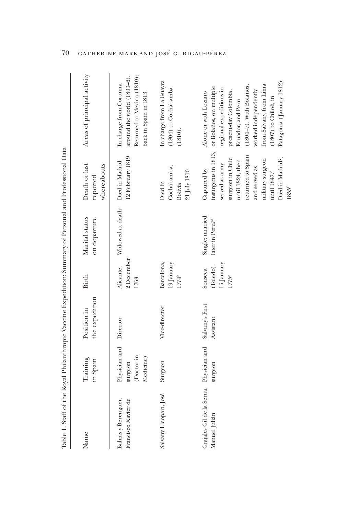| l                                                                                 |  |
|-----------------------------------------------------------------------------------|--|
|                                                                                   |  |
|                                                                                   |  |
|                                                                                   |  |
| $\overline{a}$                                                                    |  |
|                                                                                   |  |
|                                                                                   |  |
|                                                                                   |  |
| $\overline{\phantom{a}}$                                                          |  |
|                                                                                   |  |
| ļ                                                                                 |  |
|                                                                                   |  |
|                                                                                   |  |
|                                                                                   |  |
|                                                                                   |  |
|                                                                                   |  |
|                                                                                   |  |
|                                                                                   |  |
| $\overline{a}$                                                                    |  |
|                                                                                   |  |
|                                                                                   |  |
| l                                                                                 |  |
| ï<br>I                                                                            |  |
|                                                                                   |  |
|                                                                                   |  |
| ֧ׅ֧ׅׅ֧֧֧֧֧֦֧֚֚֚֚֚֚֚֚֚֚֚֚֚֚֚֚֚֚֚֚֚֡֝֘֡֓֡֡֬֝֬֝֓֝֬֓֓                                 |  |
| i                                                                                 |  |
|                                                                                   |  |
|                                                                                   |  |
|                                                                                   |  |
| ׅׅ֧ׅ֧ׅ֧֧ׅ֧ׅ֧֛֧֛֧֛֪ׅ֧֛֪ׅ֧֪ׅ֧֪ׅ֧֛֪ׅ֧֚֚֚֚֚֚֚֚֚֚֚֚֚֚֚֚֚֚֡֡֡֡֡֜֓֡֡֡֡֓֡֡֡֬֜֓֜֓֓֜֜֓֓֓֓֓֓ |  |
| i                                                                                 |  |
|                                                                                   |  |
|                                                                                   |  |
|                                                                                   |  |
| l                                                                                 |  |
|                                                                                   |  |
|                                                                                   |  |
| l                                                                                 |  |
|                                                                                   |  |
|                                                                                   |  |
| l                                                                                 |  |
|                                                                                   |  |
| I                                                                                 |  |
|                                                                                   |  |
|                                                                                   |  |
|                                                                                   |  |
| i                                                                                 |  |
| $\overline{\phantom{a}}$                                                          |  |
|                                                                                   |  |
| ו<br>ו                                                                            |  |
|                                                                                   |  |
|                                                                                   |  |
| l                                                                                 |  |
| ļ                                                                                 |  |
| $\overline{\phantom{a}}$                                                          |  |
|                                                                                   |  |
|                                                                                   |  |
|                                                                                   |  |
|                                                                                   |  |
|                                                                                   |  |
|                                                                                   |  |
| Í                                                                                 |  |
| ļ                                                                                 |  |
| i                                                                                 |  |
|                                                                                   |  |
| l                                                                                 |  |
|                                                                                   |  |
|                                                                                   |  |
|                                                                                   |  |
|                                                                                   |  |
|                                                                                   |  |
|                                                                                   |  |
| i                                                                                 |  |
|                                                                                   |  |
| ì                                                                                 |  |
|                                                                                   |  |
| í                                                                                 |  |
|                                                                                   |  |
| ł<br>1<br>$\overline{a}$<br>į                                                     |  |

| Table 1. Staff of the Royal Philanthropic Vaccine Expedition: Summary of Personal and Professional Data |                                                     |                               |                                                         |                                                |                                                                                                                                                                                                                          |                                                                                                                                                                                                                                                               |
|---------------------------------------------------------------------------------------------------------|-----------------------------------------------------|-------------------------------|---------------------------------------------------------|------------------------------------------------|--------------------------------------------------------------------------------------------------------------------------------------------------------------------------------------------------------------------------|---------------------------------------------------------------------------------------------------------------------------------------------------------------------------------------------------------------------------------------------------------------|
| Name                                                                                                    | Training<br>in Spain                                | the expedition<br>Position in | <b>Birth</b>                                            | Marital status<br>on departure                 | Death or last<br>whereabouts<br>reported                                                                                                                                                                                 | Areas of principal activity                                                                                                                                                                                                                                   |
| Balmis y Berenguer,<br>Francisco Xavier de                                                              | Physician and<br>(Doctor in<br>Medicine)<br>surgeon | Director                      | 2 December<br>Alicante,<br>1753                         | Widowed at death <sup>ª</sup> Died in Madrid   | 12 February 1819                                                                                                                                                                                                         | Returned to Mexico (1810);<br>around the world (1803-6).<br>In charge from Corunna<br>back in Spain in 1813.                                                                                                                                                  |
| Salvany Lleopart, José                                                                                  | Surgeon                                             | Vice-director                 | Barcelona,<br>19 January<br>1774b                       |                                                | Cochabamba,<br>21 July 1810<br>Died in<br>Bolivia                                                                                                                                                                        | In charge from La Guayra<br>(1804) to Cochabamba<br>$(1810)$ .                                                                                                                                                                                                |
| Grajales Gil de la Serna, Physician and<br>Manuel Julián                                                | surgeon                                             | Salvany's First<br>Assistant  | 15 January<br>(Toledo),<br>Sonseca<br>1775 <sup>c</sup> | Single; married<br>later in Peru? <sup>d</sup> | insurgents in 1813,<br>returned to Spain<br>Died in Madrid?,<br>surgeon in Chile<br>military surgeon<br>until 1824, then<br>served as army<br>and served as<br>Captured by<br>until 1847. <sup>e</sup><br>$1855^{\rm f}$ | Patagonia (January 1812).<br>from Salvany, from Lima<br>(1804-7). With Bolaños,<br>or Bolaños, on multiple<br>regional expeditions in<br>worked independently<br>present-day Colombia,<br>Alone or with Lozano<br>$(1807)$ to Chiloé, in<br>Ecuador, and Peru |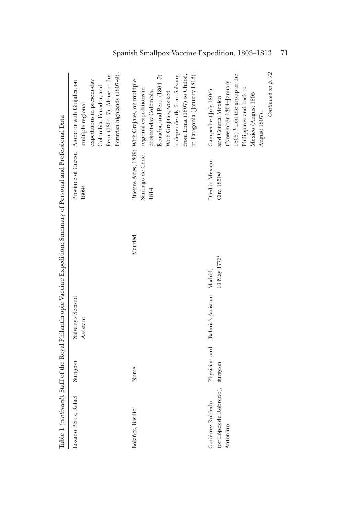|                                                                 |         |                                          | Table 1 (continued). Staff of the Royal Philanthropic Vaccine Expedition: Summary of Personal and Professional Data |                               |                                                                                                                                                                                                                                                                             |
|-----------------------------------------------------------------|---------|------------------------------------------|---------------------------------------------------------------------------------------------------------------------|-------------------------------|-----------------------------------------------------------------------------------------------------------------------------------------------------------------------------------------------------------------------------------------------------------------------------|
| Lozano Pérez, Rafael                                            | Surgeon | Salvany's Second<br>Assistant            |                                                                                                                     | 18098                         | Peruvian highlands (1807-9).<br>Peru (1804-7). Alone in the<br>expeditions in present-day<br>Province of Cuzco, Alone or with Grajales, on<br>Colombia, Ecuador, and<br>multiple regional                                                                                   |
| Bolaños, Basilio <sup>h</sup>                                   | Nurse   |                                          | Married                                                                                                             | 1814                          | Ecuador, and Peru (1804–7).<br>in Patagonia (January 1812).<br>from Lima (1807) to Chiloé,<br>independently from Salvany,<br>Buenos Aires, 1809; With Grajales, on multiple<br>Santiago de Chile, regional expeditions in<br>present-day Colombia,<br>With Grajales, worked |
| (or López de Robredo), surgeon<br>Gutiérrez Robledo<br>Antonino |         | Physician and Balmis's Assistant Madrid, | 10 May 1773                                                                                                         | Died in Mexico<br>City, 1850s | Continued on $p$ . 72<br>1805). <sup>k</sup> Led the group in the<br>(November 1804-January<br>Philippines and back to<br>Campeche (July 1804)<br>Mexico (August 1805<br>and Central Mexico<br>August 1807).                                                                |

Spanish Smallpox Vaccine Expedition, 1803–1813 71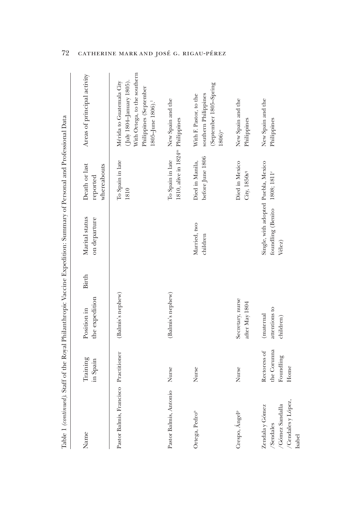|                                                                                 |                                                  | Table 1 (continued). Staff of the Royal Philanthropic Vaccine Expedition: Summary of Personal and Professional Data |                                                                    |                                                                  |                                                                                                                                                     |
|---------------------------------------------------------------------------------|--------------------------------------------------|---------------------------------------------------------------------------------------------------------------------|--------------------------------------------------------------------|------------------------------------------------------------------|-----------------------------------------------------------------------------------------------------------------------------------------------------|
| Name                                                                            | Training<br>in Spain                             | <b>Birth</b><br>the expedition<br>Position in                                                                       | Marital status<br>on departure                                     | Death or last<br>whereabouts<br>reported                         | Areas of principal activity                                                                                                                         |
| Pastor Balmis, Francisco Practitioner                                           |                                                  | (Balmis's nephew)                                                                                                   |                                                                    | To Spain in late<br>1810                                         | With Ortega, to the southern<br>$(July 1804$ -January 1805).<br>Mérida to Guatemala City<br>Philippines (September<br>1805-June 1806). <sup>1</sup> |
| Pastor Balmis, Antonio Nurse                                                    |                                                  | (Balmis's nephew)                                                                                                   |                                                                    | 1810, alive in 1824 <sup>m</sup> Philippines<br>To Spain in late | New Spain and the                                                                                                                                   |
| Ortega, Pedro <sup>n</sup>                                                      | Nurse                                            |                                                                                                                     | Married, two<br>children                                           | before June 1806<br>Died in Manila,                              | (September 1805-Spring<br>southern Philippines<br>With F. Pastor, to the<br>1806)°                                                                  |
| Crespo, Ángel <sup>p</sup>                                                      | Nurse                                            | Secretary, nurse<br>after May 1804                                                                                  |                                                                    | Died in Mexico<br>City, 1850s <sup>q</sup>                       | New Spain and the<br>Philippines                                                                                                                    |
| /Cendales y López,<br>/Gómez Sandalla<br>Zendala y Gómez<br>/Sendales<br>Isabel | the Corunna<br>Rectoress of<br>Foundling<br>Home | attentions to<br>(maternal<br>children)                                                                             | Single, with adopted Puebla, Mexico<br>foundling (Benito<br>Vélez) | 1808; 1811 <sup>r</sup>                                          | New Spain and the<br>Philippines                                                                                                                    |

72 catherine mark and josé g. rigau-pérez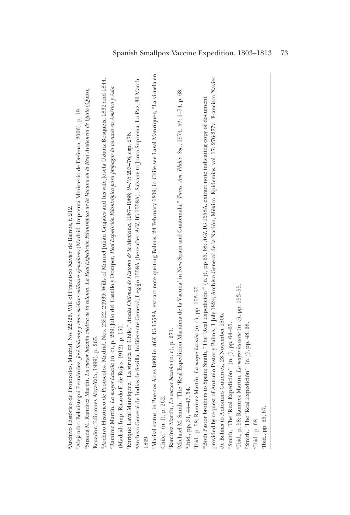| <sup>a</sup> Archivo Histórico de Protocolos, Madrid, No. 22326, Will of Francisco Xavier de Balmis, f. 212.                                                  |
|---------------------------------------------------------------------------------------------------------------------------------------------------------------|
| "Alejandro Belaústegui Fernánd <i>ez, José Satuany y otros médicos militares ejemplares</i> (Madrid: Imprenta Ministerio de Defensa, 2006), p. 19.            |
| 'Susana M. Ramírez Martín, La mayor hazaña médica de la colonia. La Real Expedición Filantopica de la Vacuna en la Real Audiencia de Quito (Quito,            |
| Ecuador: Ediciones Abya-Yala, 1999), p. 265.                                                                                                                  |
| <sup>4</sup> Archivo Histórico de Protocolos, Madrid, Nos. 23522, 24939: Wills of Manuel Julián Grajales and his wife Josefa Uztariz Bosquets, 1832 and 1844. |
| Fkamírez Martín, La mayor hazaña (n. c), p. 269; Julio del Castillo y Domper, Real Expedición Filantrópica para propagar la vacuna en América y Asia          |
| (Madrid: Imp. Ricardo F. de Rojas, 1912), p. 151.                                                                                                             |
| Enrique Laval Manríquez, "La viruela en Chile," Anales Chilenos de Historia de la Medicina, 1967-1968; 9-10: 203-76, esp. 276.                                |
| <sup>5Archivo General de Indias de Sevilla, Indiferente General, Legajo 1558A (hereafter AGI, IG 1558A), Salvany to Junta Suprema, La Paz, 30 March</sup>     |
| 1809.                                                                                                                                                         |
| "Marital status, in Buenos Aires 1809 in AGI, IG 1558A, extract note quoting Balmis, 24 February 1809; in Chile see Laval Manríquez, "La viruela en           |
| Chile," (n. f), p. 262.                                                                                                                                       |
| Ramírez Martín, La mayor hazaña (n. c), p. 271.                                                                                                               |
| Michael M. Smith, "The 'Real Expedición Marítima de la Vacuna' in New Spain and Guatemala," Trans. Am. Philos. Soc., 1974, 64: 1-74, p. 68.                   |
| kIbid., pp. 31, 44-47, 54.                                                                                                                                    |
| Tbid., p. 58; Ramírez Martín, La mayor hazaña (n. c), pp. 153-55.                                                                                             |
| "Both Pastor brothers to Spain: Smith, "The 'Real Expedición" (n. j), pp 65, 68; AGI, IC 1558A, extract note indicating copy of document                      |
| provided by request of Antonio Pastor y Balmis, 1 July 1824, Archivo General de la Nación, México. Epidemias, vol. 17: 276-277v. Francisco Xavier             |
| de Balmis to Antonino Gutiérrez, 28 November 1806.                                                                                                            |
| "Smith, "The 'Real Expedición" (n. j), pp. 64-65.                                                                                                             |
| "Ibid., p. 58; Ramírez Martín, La mayor hazaña (n. c), pp. 153-55.                                                                                            |
| "Smith, "The 'Real Expedición" (n. j), pp. 48, 68.                                                                                                            |
| Thid., p. 68.                                                                                                                                                 |
| Tbid., pp. 65, 67.                                                                                                                                            |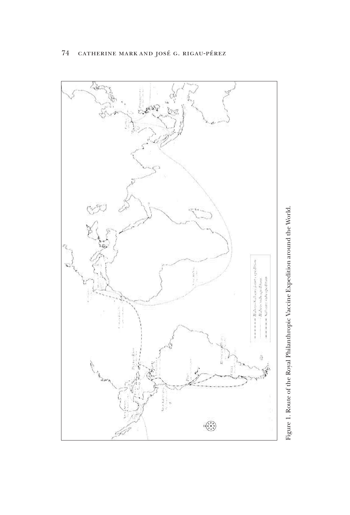

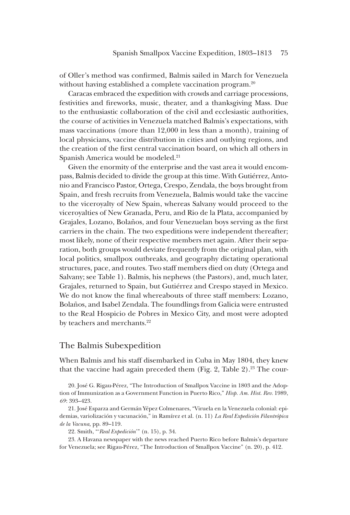of Oller's method was confirmed, Balmis sailed in March for Venezuela without having established a complete vaccination program.<sup>20</sup>

Caracas embraced the expedition with crowds and carriage processions, festivities and fireworks, music, theater, and a thanksgiving Mass. Due to the enthusiastic collaboration of the civil and ecclesiastic authorities, the course of activities in Venezuela matched Balmis's expectations, with mass vaccinations (more than 12,000 in less than a month), training of local physicians, vaccine distribution in cities and outlying regions, and the creation of the first central vaccination board, on which all others in Spanish America would be modeled.<sup>21</sup>

Given the enormity of the enterprise and the vast area it would encompass, Balmis decided to divide the group at this time. With Gutiérrez, Antonio and Francisco Pastor, Ortega, Crespo, Zendala, the boys brought from Spain, and fresh recruits from Venezuela, Balmis would take the vaccine to the viceroyalty of New Spain, whereas Salvany would proceed to the viceroyalties of New Granada, Peru, and Rio de la Plata, accompanied by Grajales, Lozano, Bolaños, and four Venezuelan boys serving as the first carriers in the chain. The two expeditions were independent thereafter; most likely, none of their respective members met again. After their separation, both groups would deviate frequently from the original plan, with local politics, smallpox outbreaks, and geography dictating operational structures, pace, and routes. Two staff members died on duty (Ortega and Salvany; see Table 1). Balmis, his nephews (the Pastors), and, much later, Grajales, returned to Spain, but Gutiérrez and Crespo stayed in Mexico. We do not know the final whereabouts of three staff members: Lozano, Bolaños, and Isabel Zendala. The foundlings from Galicia were entrusted to the Real Hospicio de Pobres in Mexico City, and most were adopted by teachers and merchants.<sup>22</sup>

#### The Balmis Subexpedition

When Balmis and his staff disembarked in Cuba in May 1804, they knew that the vaccine had again preceded them (Fig. 2, Table  $2$ ).<sup>23</sup> The cour-

20. José G. Rigau-Pérez, "The Introduction of Smallpox Vaccine in 1803 and the Adoption of Immunization as a Government Function in Puerto Rico," *Hisp. Am. Hist. Rev.* 1989, *69* : 393–423.

21. José Esparza and Germán Yépez Colmenares, "Viruela en la Venezuela colonial: epidemias, variolización y vacunación," in Ramírez et al. (n. 11) *La Real Expedición Filantrópica de la Vacuna,* pp. 89–119.

22. Smith, "'*Real Expedición*'" (n. 15), p. 34.

23. A Havana newspaper with the news reached Puerto Rico before Balmis's departure for Venezuela; see Rigau-Pérez, "The Introduction of Smallpox Vaccine" (n. 20), p. 412.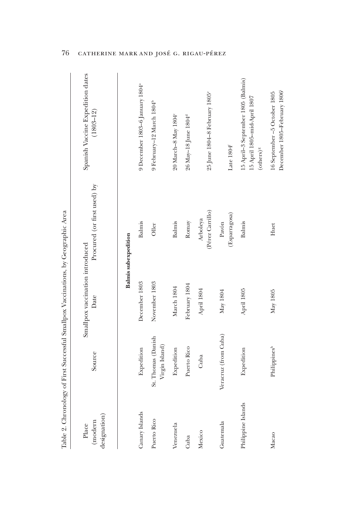| $\overline{\phantom{a}}$                             |
|------------------------------------------------------|
| İ<br>l                                               |
| ì<br>í<br>֖ׅׅ֚֚֚֚֚֚֚֚֚֚֚֚֚֚֚֚֚֚֚֚֚֚֚֚֚֚֚֚֡֝֡֡֡֡֡֡֡֝֞ |
| İ<br>ı                                               |
| $\ddot{\phantom{a}}$                                 |
| ł<br>ļ<br>í                                          |
| I<br>I                                               |
| ļ<br>I                                               |
| í                                                    |
| Ì                                                    |
| ¢<br>l<br>I<br>Ì                                     |
| ľ<br>l,                                              |
| $\frac{1}{2}$<br>j<br>l                              |
| i<br>i<br>l<br>ı                                     |
| ¢<br>Į<br>i<br>ble<br>í                              |

|                                  | Table 2. Chronology of First Successful Smallpox Vaccinations, by Geographic Area |                                         |                              |                                                                                             |
|----------------------------------|-----------------------------------------------------------------------------------|-----------------------------------------|------------------------------|---------------------------------------------------------------------------------------------|
| designation)<br>(modern<br>Place | Source                                                                            | Smallpox vaccination introduced<br>Date | Procured (or first used) by  | Spanish Vaccine Expedition dates<br>$(1803 - 12)$                                           |
|                                  |                                                                                   |                                         | <b>Balmis</b> subexpedition  |                                                                                             |
| Canary Islands                   | Expedition                                                                        | December 1803                           | <b>Balmis</b>                | 9 December 1803-6 January 1804 <sup>ª</sup>                                                 |
| Puerto Rico                      | St. Thomas (Danish<br>Virgin Island)                                              | November 1803                           | Oller                        | 9 February-12 March 1804 <sup>b</sup>                                                       |
| Venezuela                        | Expedition                                                                        | March 1804                              | <b>Balmis</b>                | 20 March-8 May 1804 <sup>c</sup>                                                            |
| Cuba                             | Puerto Rico                                                                       | February 1804                           | Romay                        | 26 May-18 June 1804 <sup>d</sup>                                                            |
| Mexico                           | Cuba                                                                              | April 1804                              | (Pérez Carrillo)<br>Arboleya | 25 June 1804-8 February 1805 <sup>e</sup>                                                   |
| Guatemala                        | Veracruz (from Cuba)                                                              | May 1804                                | (Esparragosa)<br>Pavón       | Late $1804$ <sup>f</sup>                                                                    |
| Philippine Islands               | Expedition                                                                        | April 1805                              | <b>Balmis</b>                | 15 April-3 September 1805 (Balmis)<br>15 April 1805-mid-April 1807<br>(others) <sup>g</sup> |
| Масао                            | Philippines <sup>h</sup>                                                          | May 1805                                | Huet                         | December 1805-February 1806<br>16 September-5 October 1805                                  |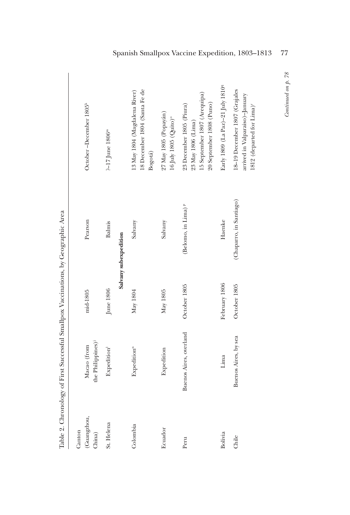| (Guangzhou,<br>Canton<br>China) | the Philippines) <sup>j</sup><br>Macao (from | mid-1805      | Pearson                        | October-December 1805 <sup>k</sup>                                                                         |
|---------------------------------|----------------------------------------------|---------------|--------------------------------|------------------------------------------------------------------------------------------------------------|
| St. Helena                      | Expedition <sup>1</sup>                      | June 1806     | <b>Balmis</b>                  | ?-17 June 1806 <sup>m</sup>                                                                                |
|                                 |                                              |               | Salvany subexpedition          |                                                                                                            |
| Colombia                        | Expedition <sup>n</sup>                      | May 1804      | Salvany                        | 18 December 1804 (Santa Fe de<br>13 May 1804 (Magdalena River)<br>Bogotá)                                  |
| Ecuador                         | Expedition                                   | May 1805      | Salvany                        | 27 May 1805 (Popayán)<br>16 July 1805 (Quito) <sup>o</sup>                                                 |
| Peru                            | Buenos Aires, overland                       | October 1805  | (Belomo, in Lima) <sup>P</sup> | 15 September 1807 (Arequipa)<br>20 September 1808 (Puno)<br>23 December 1805 (Piura)<br>23 May 1806 (Lima) |
| Bolivia                         | Lima                                         | February 1806 | Haenke                         | Early 1809 (La Paz)-21 July 1810 <sup>9</sup>                                                              |
| Chile                           | Buenos Aires, by sea                         | October 1805  | (Chaparro, in Santiago)        | 18-19 December 1807 (Grajales<br>arrived in Valparaiso)-January<br>1812 (departed for Lima) <sup>r</sup>   |

Table 2. Chronology of First Successful Smallpox Vaccinations, by Geographic Area Table 2. Chronology of First Successful Smallpox Vaccinations, by Geographic Area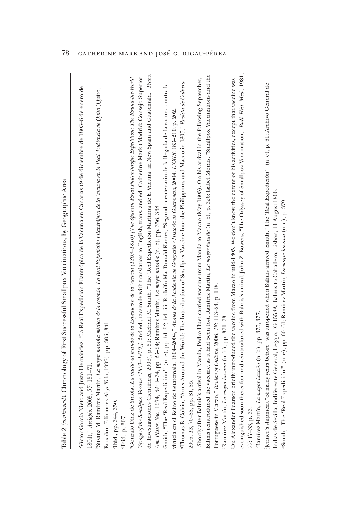| l                        |
|--------------------------|
| $\overline{\phantom{a}}$ |
| )                        |
|                          |
| ţ<br>)                   |
| i                        |
|                          |
|                          |
|                          |
|                          |
| l                        |
|                          |
|                          |
| $\frac{1}{2}$            |
|                          |
|                          |
|                          |
|                          |
| $\overline{\phantom{a}}$ |
|                          |
|                          |
| I                        |
|                          |
|                          |
|                          |
|                          |
|                          |
|                          |
|                          |
| į<br>į                   |
|                          |
|                          |
| ׇ֚֬֡<br>j                |
| ı                        |
|                          |
|                          |
|                          |
| i                        |
|                          |
|                          |
|                          |
|                          |
|                          |
|                          |
|                          |
|                          |
|                          |
|                          |
| j                        |
| ŀ<br>I                   |

Víctor García Nieto and Justo Hernández, "La Real Expedición Filantrópica de la Vacuna en Canarias (9 de diciembre de 1803–6 de enero de aVíctor García Nieto and Justo Hernández, "La Real Expedición Filantrópica de la Vacuna en Canarias (9 de diciembre de 1803–6 de enero de 804)," Asclepio, 2005, 57: 151-71. 1804)," *Asclepio*, 2005, *57* : 151–71.

Susana M. Ramírez Martín, La mayor hazaña médica de la colonia. La Real Expedición Filantrópica de la Vacuna en la Real Audiencia de Quito (Quito, bSusana M. Ramírez Martín, *La mayor hazaña médica de la colonia. La Real Expedición Filantrópica de la Vacuna en la Real Audiencia de Quito* (Quito, Ecuador: Ediciones Abya-Yala, 1999), pp. 305, 341. Ecuador: Ediciones Abya-Yala, 1999), pp. 305, 341.

Ibid., pp. 344, 350. cIbid., pp. 344, 350.

Ibid., p. 307. dIbid., p. 307.

de Investigaciones Científicas, 2003), p. 51; Michael M. Smith, "The 'Real Expedición Marítima de la Vacuna' in New Spain and Guatemala," *Trans.*  de Investigaciones Científicas, 2003), p. 51; Michael M. Smith, "The 'Real Expedición Marítima de la Vacuna' in New Spain and Guatemala," Trans. *Voyage of the Smallpox Vaccine (1803–1810)]*, 2nd ed., facsimile with translation to English, trans. and ed. Catherine Mark (Madrid: Consejo Superior loyage of the Smallpox Vaccine (1803-1810)], 2nd ed., facsimile with translation to English, trans. and ed. Catherine Mark (Madrid: Consejo Superior 'Gonzalo Díaz de Yraola, La vuelta al mundo de la Expedición de la Vacuna (1803–1810) [The Spanish Royal Philanthropic Expedition: The Round-the-World eGonzalo Díaz de Yraola, *La vuelta al mundo de la Expedición de la Vacuna (1803–1810) [The Spanish Royal Philanthropic Expedition: The Round-the-World*  Am. Philos. Soc., 1974, 64: 1–74, pp. 23–24; Ramírez Martín, *La mayor hazaña* (n. b), pp. 356, 368. *Am. Philos. Soc.*, 1974, *64* : 1–74, pp. 23–24; Ramírez Martín, *La mayor hazaña* (n. b), pp. 356, 368.

gThomas B. Colvin, "Arms Around the World: The Introduction of Smallpox Vaccine Into the Philippines and Macao in 1805," *Revista de Cultura*, "Thomas B. Colvin, "Arms Around the World: The Introduction of Smallpox Vaccine Into the Philippines and Macao in 1805," Revista de Cultura, "Smith, "The 'Real Expedición"" (n. e), pp. 51–52, 54–55; Rodolfo MacDonald Kanter, "Segundo centenario de la llegada de la vacuna contra la fSmith, "The 'Real Expedición'" (n. e), pp. 51–52, 54 –55; Rodolfo MacDonald Kanter, "Segundo centenario de la llegada de la vacuna contra la viruela en el Reino de Guatemala, 1804 –2004," *Anales de la Academia de Geografía e Historia de Guatemala*, 2004, *LXXIX*: 183–210, p. 202. viruela en el Reino de Guatemala, 1804-2004," Anales de la Academia de Geografía e Historia de Guatemala, 2004, LXXIX: 183-210, p. 202 2006, 18, 70-88, pp. 81, 85. 2006, *18*, 70–88, pp. 81, 85.

Balmis reintroduced the vaccine, as it had been lost. Ramírez Martín, *La mayor hazaña* (n. b), p. 326; Isabel Morais, "Smallpox Vaccinations and the Balmis reintroduced the vaccine, as it had been lost. Ramírez Martín, *La mayor hazaña* (n. b), p. 326; Isabel Morais, "Smallpox Vaccinations and the hShortly after Balmis's arrival in Manila, Pedro Huet carried vaccine from Manila to Macao (May 1805). On his arrival in the following September, Shortly after Balmis's arrival in Manila, Pedro Huet carried vaccine from Manila to Macao (May 1805). On his arrival in the following September, Portuguese in Macao," Review of Cullure, 2006, 18: 113-24, p. 118. Portuguese in Macao," *Review of Culture*, 2006, *18* : 113–24, p. 118.

Ramírez Martín, La mayor hazaña (n. b), pp. 371-73. i Ramírez Martín, *La mayor hazaña* (n. b), pp. 371–73.

extinguished soon thereafter and reintroduced with Balmis's arrival. John Z. Bowers, "The Odyssey of Smallpox Vaccination," *Bull. Hist. Med.*, 1981, extinguished soon thereafter and reintroduced with Balmis's arrival. John Z. Bowers, "The Odyssey of Smallpox Vaccination," Bull. Hist. Med., 1981, jDr. Alexander Pearson briefly introduced the vaccine from Macao in mid-1805. We don't know the extent of his activities, except that vaccine was Dr. Alexander Pearson briefly introduced the vaccine from Macao in mid-1805. We don't know the extent of his activities, except that vaccine was 55: 17-33, p. 33. *55* : 17–33, p. 33.

Ramírez Martín, La mayor hazaña (n. b), pp. 375, 377. kRamírez Martín, *La mayor hazaña* (n. b), pp. 375, 377.

lJenner's shipment "of many years before" was unopened when Balmis arrived. Smith, "The 'Real Expedición'" (n. e), p. 61; Archivo General de Jenner's shipment "of many years before" was unopened when Balmis arrived. Smith, "The 'Real Expedición" (n. e), p. 61; Archivo General de Indias de Sevilla, Indiferente General, Legajo, IG 1558A, Balmis to Caballero, Lisbon, 14 August 1806. Indias de Sevilla, Indiferente General, Legajo, IG 1558A, Balmis to Caballero, Lisbon, 14 August 1806.

"Smith, "The 'Real Expedición" (n. e), pp. 60-61; Ramírez Martín, La mayor hazaña (n. c), p. 379. mSmith, "The 'Real Expedición'" (n. e), pp. 60–61; Ramírez Martín, *La mayor hazaña* (n. c), p. 379.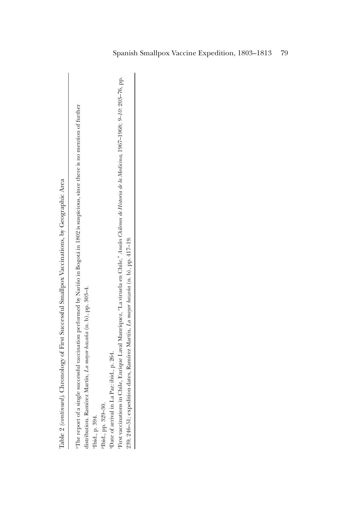Table 2 (continued). Chronology of First Successful Smallpox Vaccinations, by Geographic Area Table 2 *(continued)*. Chronology of First Successful Smallpox Vaccinations, by Geographic Area

nThe report of a single successful vaccination performed by Nariño in Bogotá in 1802 is suspicious, since there is no mention of further "The report of a single successful vaccination performed by Nariño in Bogotá in 1802 is suspicious, since there is no mention of further distribution. Ramírez Martín, La mayor hazaña (n. b), pp. 303-4. distribution. Ramírez Martín, *La mayor hazaña* (n. b), pp. 303–4. Tbid., p. 394. oIbid., p. 394.

PIbid., pp. 329-30. pIbid., pp. 329–30.

<sup>q</sup>Date of arrival in La Paz: ibid., p. 264. qDate of arrival in La Paz: ibid., p. 264.

rFirst vaccinations in Chile, Enrique Laval Manríquez, "La viruela en Chile," *Anales Chilenos de Historia de la Medicina*, 1967–1968; *9–10* : 203–76, pp. First vaccinations in Chile, Enrique Laval Manríquez, "La viruela en Chile," Anales Chilenos de Historia de la Medicina, 1967-1968; 9-10: 203-76, pp. 239, 246-51; expedition dates, Ramírez Martín, La mayor hazaña (n. b), pp. 417-19. 239, 246–51; expedition dates, Ramírez Martín, *La mayor hazaña* (n. b), pp. 417–19.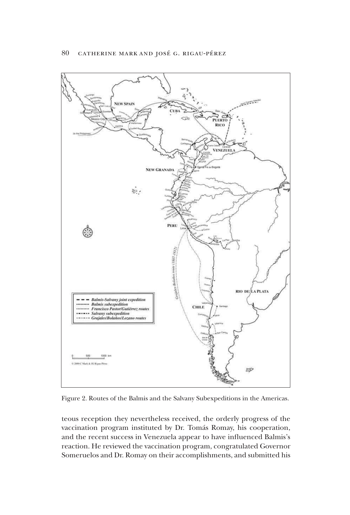

Figure 2. Routes of the Balmis and the Salvany Subexpeditions in the Americas.

teous reception they nevertheless received, the orderly progress of the vaccination program instituted by Dr. Tomás Romay, his cooperation, and the recent success in Venezuela appear to have influenced Balmis's reaction. He reviewed the vaccination program, congratulated Governor Someruelos and Dr. Romay on their accomplishments, and submitted his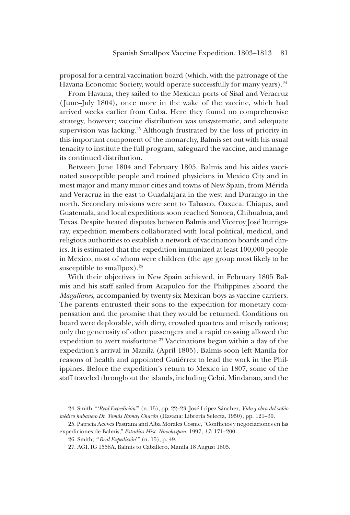proposal for a central vaccination board (which, with the patronage of the Havana Economic Society, would operate successfully for many years).<sup>24</sup>

From Havana, they sailed to the Mexican ports of Sisal and Veracruz ( June–July 1804), once more in the wake of the vaccine, which had arrived weeks earlier from Cuba. Here they found no comprehensive strategy, however; vaccine distribution was unsystematic, and adequate supervision was lacking.<sup>25</sup> Although frustrated by the loss of priority in this important component of the monarchy, Balmis set out with his usual tenacity to institute the full program, safeguard the vaccine, and manage its continued distribution.

Between June 1804 and February 1805, Balmis and his aides vaccinated susceptible people and trained physicians in Mexico City and in most major and many minor cities and towns of New Spain, from Mérida and Veracruz in the east to Guadalajara in the west and Durango in the north. Secondary missions were sent to Tabasco, Oaxaca, Chiapas, and Guatemala, and local expeditions soon reached Sonora, Chihuahua, and Texas. Despite heated disputes between Balmis and Viceroy José Iturrigaray, expedition members collaborated with local political, medical, and religious authorities to establish a network of vaccination boards and clinics. It is estimated that the expedition immunized at least 100,000 people in Mexico, most of whom were children (the age group most likely to be susceptible to smallpox). $26$ 

With their objectives in New Spain achieved, in February 1805 Balmis and his staff sailed from Acapulco for the Philippines aboard the *Magallanes*, accompanied by twenty-six Mexican boys as vaccine carriers. The parents entrusted their sons to the expedition for monetary compensation and the promise that they would be returned. Conditions on board were deplorable, with dirty, crowded quarters and miserly rations; only the generosity of other passengers and a rapid crossing allowed the expedition to avert misfortune.<sup>27</sup> Vaccinations began within a day of the expedition's arrival in Manila (April 1805). Balmis soon left Manila for reasons of health and appointed Gutiérrez to lead the work in the Philippines. Before the expedition's return to Mexico in 1807, some of the staff traveled throughout the islands, including Cebú, Mindanao, and the

<sup>24.</sup> Smith, "'*Real Expedición*'" (n. 15), pp. 22–23; José López Sánchez, *Vida y obra del sabio médico habanero Dr. Tomás Romay Chacón* (Havana: Librería Selecta, 1950), pp. 121–30.

<sup>25.</sup> Patricia Aceves Pastrana and Alba Morales Cosme, "Conflictos y negociaciones en las expediciones de Balmis," *Estudios Hist. Novohispan.* 1997, *17* : 171–200.

<sup>26.</sup> Smith, "'*Real Expedición*'" (n. 15), p. 49.

<sup>27.</sup> AGI, IG 1558A, Balmis to Caballero, Manila 18 August 1805.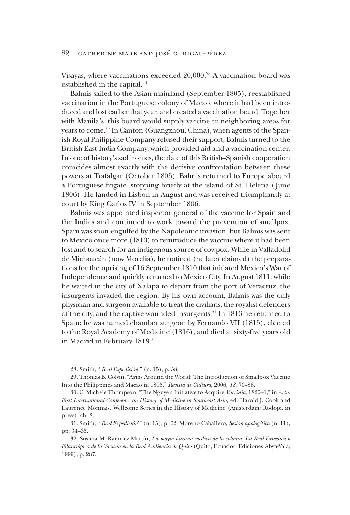Visayas, where vaccinations exceeded 20,000.<sup>28</sup> A vaccination board was established in the capital.<sup>29</sup>

Balmis sailed to the Asian mainland (September 1805), reestablished vaccination in the Portuguese colony of Macao, where it had been introduced and lost earlier that year, and created a vaccination board. Together with Manila's, this board would supply vaccine to neighboring areas for years to come.30 In Canton (Guangzhou, China), when agents of the Spanish Royal Philippine Company refused their support, Balmis turned to the British East India Company, which provided aid and a vaccination center. In one of history's sad ironies, the date of this British–Spanish cooperation coincides almost exactly with the decisive confrontation between these powers at Trafalgar (October 1805). Balmis returned to Europe aboard a Portuguese frigate, stopping briefly at the island of St. Helena ( June 1806). He landed in Lisbon in August and was received triumphantly at court by King Carlos IV in September 1806.

Balmis was appointed inspector general of the vaccine for Spain and the Indies and continued to work toward the prevention of smallpox. Spain was soon engulfed by the Napoleonic invasion, but Balmis was sent to Mexico once more (1810) to reintroduce the vaccine where it had been lost and to search for an indigenous source of cowpox. While in Valladolid de Michoacán (now Morelia), he noticed (he later claimed) the preparations for the uprising of 16 September 1810 that initiated Mexico's War of Independence and quickly returned to Mexico City. In August 1811, while he waited in the city of Xalapa to depart from the port of Veracruz, the insurgents invaded the region. By his own account, Balmis was the only physician and surgeon available to treat the civilians, the royalist defenders of the city, and the captive wounded insurgents.<sup>31</sup> In 1813 he returned to Spain; he was named chamber surgeon by Fernando VII (1815), elected to the Royal Academy of Medicine (1816), and died at sixty-five years old in Madrid in February 1819.<sup>32</sup>

28. Smith, "'*Real Expedición*'" (n. 15), p. 58.

29. Thomas B. Colvin, "Arms Around the World: The Introduction of Smallpox Vaccine Into the Philippines and Macao in 1805," *Revista de Cultura*, 2006, *18*, 70–88.

30. C. Michele Thompson, "The Nguyen Initiative to Acquire *Vaccinia*, 1820–1," in *Acta: First International Conference on History of Medicine in Southeast Asia*, ed. Harold J. Cook and Laurence Monnais. Wellcome Series in the History of Medicine (Amsterdam: Rodopi, in press), ch. 8.

31. Smith, "'*Real Expedición*'" (n. 15), p. 62; Moreno Caballero, *Sesión apologética* (n. 11), pp. 34 –35.

32. Susana M. Ramírez Martín, *La mayor hazaña médica de la colonia. La Real Expedición Filantrópica de la Vacuna en la Real Audiencia de Quito* (Quito, Ecuador: Ediciones Abya-Yala, 1999), p. 287.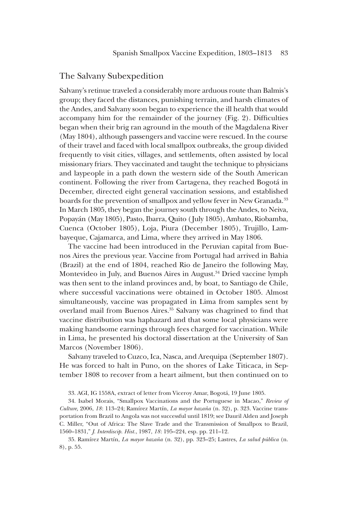# The Salvany Subexpedition

Salvany's retinue traveled a considerably more arduous route than Balmis's group; they faced the distances, punishing terrain, and harsh climates of the Andes, and Salvany soon began to experience the ill health that would accompany him for the remainder of the journey (Fig. 2). Difficulties began when their brig ran aground in the mouth of the Magdalena River (May 1804), although passengers and vaccine were rescued. In the course of their travel and faced with local smallpox outbreaks, the group divided frequently to visit cities, villages, and settlements, often assisted by local missionary friars. They vaccinated and taught the technique to physicians and laypeople in a path down the western side of the South American continent. Following the river from Cartagena, they reached Bogotá in December, directed eight general vaccination sessions, and established boards for the prevention of smallpox and yellow fever in New Granada.<sup>33</sup> In March 1805, they began the journey south through the Andes, to Neiva, Popayán (May 1805), Pasto, Ibarra, Quito ( July 1805), Ambato, Riobamba, Cuenca (October 1805), Loja, Piura (December 1805), Trujillo, Lambayeque, Cajamarca, and Lima, where they arrived in May 1806.

The vaccine had been introduced in the Peruvian capital from Buenos Aires the previous year. Vaccine from Portugal had arrived in Bahia (Brazil) at the end of 1804, reached Rio de Janeiro the following May, Montevideo in July, and Buenos Aires in August.<sup>34</sup> Dried vaccine lymph was then sent to the inland provinces and, by boat, to Santiago de Chile, where successful vaccinations were obtained in October 1805. Almost simultaneously, vaccine was propagated in Lima from samples sent by overland mail from Buenos Aires.<sup>35</sup> Salvany was chagrined to find that vaccine distribution was haphazard and that some local physicians were making handsome earnings through fees charged for vaccination. While in Lima, he presented his doctoral dissertation at the University of San Marcos (November 1806).

Salvany traveled to Cuzco, Ica, Nasca, and Arequipa (September 1807). He was forced to halt in Puno, on the shores of Lake Titicaca, in September 1808 to recover from a heart ailment, but then continued on to

33. AGI, IG 1558A, extract of letter from Viceroy Amar, Bogotá, 19 June 1805.

34. Isabel Morais, "Smallpox Vaccinations and the Portuguese in Macao," *Review of Culture,* 2006, *18* : 113–24; Ramírez Martín, *La mayor hazaña* (n. 32), p. 323. Vaccine transportation from Brazil to Angola was not successful until 1819; see Dauril Alden and Joseph C. Miller, "Out of Africa: The Slave Trade and the Transmission of Smallpox to Brazil, 1560–1831," *J. Interdiscip. Hist.*, 1987, *18* : 195–224, esp. pp. 211–12.

35. Ramírez Martín, *La mayor hazaña* (n. 32), pp. 323–25; Lastres, *La salud pública* (n. 8), p. 55.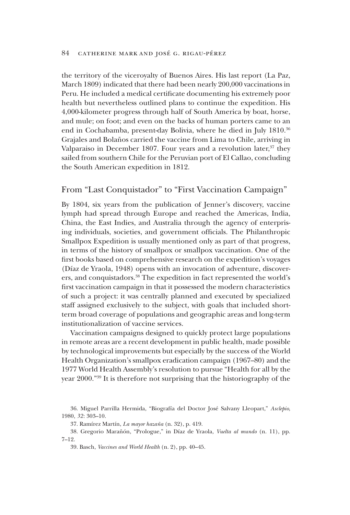the territory of the viceroyalty of Buenos Aires. His last report (La Paz, March 1809) indicated that there had been nearly 200,000 vaccinations in Peru. He included a medical certificate documenting his extremely poor health but nevertheless outlined plans to continue the expedition. His 4,000-kilometer progress through half of South America by boat, horse, and mule; on foot; and even on the backs of human porters came to an end in Cochabamba, present-day Bolivia, where he died in July 1810.<sup>36</sup> Grajales and Bolaños carried the vaccine from Lima to Chile, arriving in Valparaiso in December 1807. Four years and a revolution later, $37$  they sailed from southern Chile for the Peruvian port of El Callao, concluding the South American expedition in 1812.

# From "Last Conquistador" to "First Vaccination Campaign"

By 1804, six years from the publication of Jenner's discovery, vaccine lymph had spread through Europe and reached the Americas, India, China, the East Indies, and Australia through the agency of enterprising individuals, societies, and government officials. The Philanthropic Smallpox Expedition is usually mentioned only as part of that progress, in terms of the history of smallpox or smallpox vaccination. One of the first books based on comprehensive research on the expedition's voyages (Díaz de Yraola, 1948) opens with an invocation of adventure, discoverers, and conquistadors.<sup>38</sup> The expedition in fact represented the world's first vaccination campaign in that it possessed the modern characteristics of such a project: it was centrally planned and executed by specialized staff assigned exclusively to the subject, with goals that included shortterm broad coverage of populations and geographic areas and long-term institutionalization of vaccine services.

Vaccination campaigns designed to quickly protect large populations in remote areas are a recent development in public health, made possible by technological improvements but especially by the success of the World Health Organization's smallpox eradication campaign (1967–80) and the 1977 World Health Assembly's resolution to pursue "Health for all by the year 2000."<sup>39</sup> It is therefore not surprising that the historiography of the

<sup>36.</sup> Miguel Parrilla Hermida, "Biografía del Doctor José Salvany Lleopart," *Asclepio*, 1980, 32: 303-10.

<sup>37.</sup> Ramírez Martín, *La mayor hazaña* (n. 32), p. 419.

<sup>38.</sup> Gregorio Marañón, "Prologue," in Díaz de Yraola, *Vuelta al mundo* (n. 11), pp. 7–12.

<sup>39.</sup> Basch, *Vaccines and World Health* (n. 2), pp. 40–45.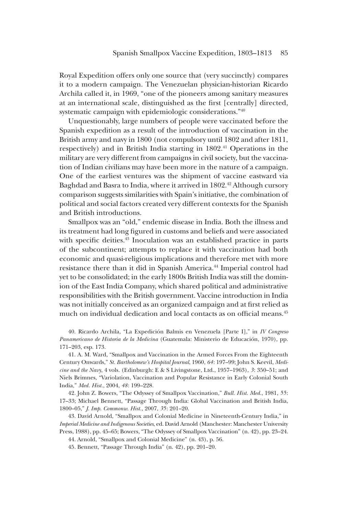Royal Expedition offers only one source that (very succinctly) compares it to a modern campaign. The Venezuelan physician-historian Ricardo Archila called it, in 1969, "one of the pioneers among sanitary measures at an international scale, distinguished as the first [centrally] directed, systematic campaign with epidemiologic considerations."<sup>40</sup>

Unquestionably, large numbers of people were vaccinated before the Spanish expedition as a result of the introduction of vaccination in the British army and navy in 1800 (not compulsory until 1802 and after 1811, respectively) and in British India starting in 1802.<sup>41</sup> Operations in the military are very different from campaigns in civil society, but the vaccination of Indian civilians may have been more in the nature of a campaign. One of the earliest ventures was the shipment of vaccine eastward via Baghdad and Basra to India, where it arrived in 1802.<sup>42</sup> Although cursory comparison suggests similarities with Spain's initiative, the combination of political and social factors created very different contexts for the Spanish and British introductions.

Smallpox was an "old," endemic disease in India. Both the illness and its treatment had long figured in customs and beliefs and were associated with specific deities.<sup>43</sup> Inoculation was an established practice in parts of the subcontinent; attempts to replace it with vaccination had both economic and quasi-religious implications and therefore met with more resistance there than it did in Spanish America.<sup>44</sup> Imperial control had yet to be consolidated; in the early 1800s British India was still the dominion of the East India Company, which shared political and administrative responsibilities with the British government. Vaccine introduction in India was not initially conceived as an organized campaign and at first relied as much on individual dedication and local contacts as on official means.<sup>45</sup>

40. Ricardo Archila, "La Expedición Balmis en Venezuela [Parte I]," in *IV Congreso Panamericano de Historia de la Medicina* (Guatemala: Ministerio de Educación, 1970), pp. 171–203, esp. 173.

41. A. M. Ward, "Smallpox and Vaccination in the Armed Forces From the Eighteenth Century Onwards," *St. Bartholomew's Hospital Journal*, 1960, *64* : 197–99; John S. Keevil, *Medicine and the Navy*, 4 vols. (Edinburgh: E & S Livingstone, Ltd., 1957–1963), *3* : 350–51; and Niels Brimnes, "Variolation, Vaccination and Popular Resistance in Early Colonial South India," *Med. Hist.*, 2004, *48* : 199–228.

42. John Z. Bowers, "The Odyssey of Smallpox Vaccination," *Bull. Hist. Med.*, 1981, *55* : 17–33; Michael Bennett, "Passage Through India: Global Vaccination and British India, 1800–05," *J. Imp. Commonw. Hist.*, 2007, *35* : 201–20.

43. David Arnold, "Smallpox and Colonial Medicine in Nineteenth-Century India," in *Imperial Medicine and Indigenous Societies*, ed. David Arnold (Manchester: Manchester University Press, 1988), pp. 45–65; Bowers, "The Odyssey of Smallpox Vaccination" (n. 42), pp. 23–24.

44. Arnold, "Smallpox and Colonial Medicine" (n. 43), p. 56.

45. Bennett, "Passage Through India" (n. 42), pp. 201–20.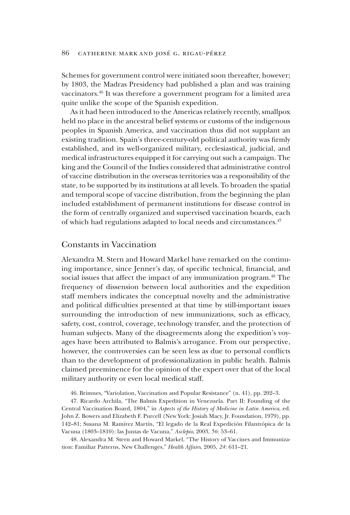Schemes for government control were initiated soon thereafter, however; by 1803, the Madras Presidency had published a plan and was training vaccinators.<sup>46</sup> It was therefore a government program for a limited area quite unlike the scope of the Spanish expedition.

As it had been introduced to the Americas relatively recently, smallpox held no place in the ancestral belief systems or customs of the indigenous peoples in Spanish America, and vaccination thus did not supplant an existing tradition. Spain's three-century-old political authority was firmly established, and its well-organized military, ecclesiastical, judicial, and medical infrastructures equipped it for carrying out such a campaign. The king and the Council of the Indies considered that administrative control of vaccine distribution in the overseas territories was a responsibility of the state, to be supported by its institutions at all levels. To broaden the spatial and temporal scope of vaccine distribution, from the beginning the plan included establishment of permanent institutions for disease control in the form of centrally organized and supervised vaccination boards, each of which had regulations adapted to local needs and circumstances.<sup>47</sup>

### Constants in Vaccination

Alexandra M. Stern and Howard Markel have remarked on the continuing importance, since Jenner's day, of specific technical, financial, and social issues that affect the impact of any immunization program.<sup>48</sup> The frequency of dissension between local authorities and the expedition staff members indicates the conceptual novelty and the administrative and political difficulties presented at that time by still-important issues surrounding the introduction of new immunizations, such as efficacy, safety, cost, control, coverage, technology transfer, and the protection of human subjects. Many of the disagreements along the expedition's voyages have been attributed to Balmis's arrogance. From our perspective, however, the controversies can be seen less as due to personal conflicts than to the development of professionalization in public health. Balmis claimed preeminence for the opinion of the expert over that of the local military authority or even local medical staff.

46. Brimnes, "Variolation, Vaccination and Popular Resistance" (n. 41), pp. 202–3.

47. Ricardo Archila, "The Balmis Expedition in Venezuela. Part II: Founding of the Central Vaccination Board, 1804," in *Aspects of the History of Medicine in Latin America*, ed. John Z. Bowers and Elizabeth F. Purcell (New York: Josiah Macy, Jr. Foundation, 1979), pp. 142–81; Susana M. Ramírez Martín, "El legado de la Real Expedición Filantrópica de la Vacuna (1803–1810): las Juntas de Vacuna," *Asclepio*, 2003, *56* : 53–61.

48. Alexandra M. Stern and Howard Markel, "The History of Vaccines and Immunization: Familiar Patterns, New Challenges," *Health Affairs*, 2005, *24* : 611–21.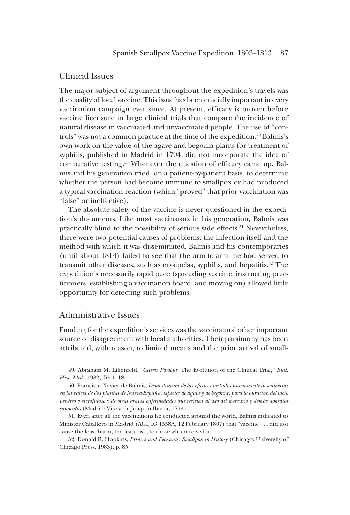#### Clinical Issues

The major subject of argument throughout the expedition's travels was the quality of local vaccine. This issue has been crucially important in every vaccination campaign ever since. At present, efficacy is proven before vaccine licensure in large clinical trials that compare the incidence of natural disease in vaccinated and unvaccinated people. The use of "controls" was not a common practice at the time of the expedition.<sup>49</sup> Balmis's own work on the value of the agave and begonia plants for treatment of syphilis, published in Madrid in 1794, did not incorporate the idea of comparative testing.50 Whenever the question of efficacy came up, Balmis and his generation tried, on a patient-by-patient basis, to determine whether the person had become immune to smallpox or had produced a typical vaccination reaction (which "proved" that prior vaccination was "false" or ineffective).

The absolute safety of the vaccine is never questioned in the expedition's documents. Like most vaccinators in his generation, Balmis was practically blind to the possibility of serious side effects.<sup>51</sup> Nevertheless, there were two potential causes of problems: the infection itself and the method with which it was disseminated. Balmis and his contemporaries (until about 1814) failed to see that the arm-to-arm method served to transmit other diseases, such as erysipelas, syphilis, and hepatitis.<sup>52</sup> The expedition's necessarily rapid pace (spreading vaccine, instructing practitioners, establishing a vaccination board, and moving on) allowed little opportunity for detecting such problems.

#### Administrative Issues

Funding for the expedition's services was the vaccinators' other important source of disagreement with local authorities. Their parsimony has been attributed, with reason, to limited means and the prior arrival of small-

49. Abraham M. Lilienfeld, "*Ceteris Paribus*: The Evolution of the Clinical Trial," *Bull. Hist. Med.*, 1982, *56* : 1–18.

50. Francisco Xavier de Balmis, *Demostración de las eficaces virtudes nuevamente descubiertas en las raíces de dos plantas de Nueva-España, especies de ágave y de begónia, para la curación del vicio venéreo y escrofuloso y de otras graves enfermedades que resisten al uso del mercurio y demás remedios conocidos* (Madrid: Viuda de Joaquín Ibarra, 1794).

51. Even after all the vaccinations he conducted around the world, Balmis indicated to Minister Caballero in Madrid (AGI, IG 1558A, 12 February 1807) that "vaccine . . . did not cause the least harm, the least risk, to those who received it."

52. Donald R. Hopkins, *Princes and Peasants: Smallpox in History* (Chicago: University of Chicago Press, 1983), p. 85.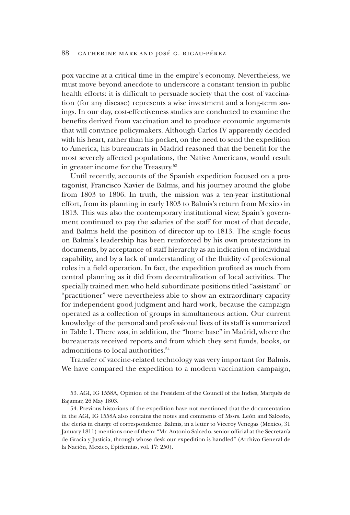pox vaccine at a critical time in the empire's economy. Nevertheless, we must move beyond anecdote to underscore a constant tension in public health efforts: it is difficult to persuade society that the cost of vaccination (for any disease) represents a wise investment and a long-term savings. In our day, cost-effectiveness studies are conducted to examine the benefits derived from vaccination and to produce economic arguments that will convince policymakers. Although Carlos IV apparently decided with his heart, rather than his pocket, on the need to send the expedition to America, his bureaucrats in Madrid reasoned that the benefit for the most severely affected populations, the Native Americans, would result in greater income for the Treasury.<sup>53</sup>

Until recently, accounts of the Spanish expedition focused on a protagonist, Francisco Xavier de Balmis, and his journey around the globe from 1803 to 1806. In truth, the mission was a ten-year institutional effort, from its planning in early 1803 to Balmis's return from Mexico in 1813. This was also the contemporary institutional view; Spain's government continued to pay the salaries of the staff for most of that decade, and Balmis held the position of director up to 1813. The single focus on Balmis's leadership has been reinforced by his own protestations in documents, by acceptance of staff hierarchy as an indication of individual capability, and by a lack of understanding of the fluidity of professional roles in a field operation. In fact, the expedition profited as much from central planning as it did from decentralization of local activities. The specially trained men who held subordinate positions titled "assistant" or "practitioner" were nevertheless able to show an extraordinary capacity for independent good judgment and hard work, because the campaign operated as a collection of groups in simultaneous action. Our current knowledge of the personal and professional lives of its staff is summarized in Table 1. There was, in addition, the "home base" in Madrid, where the bureaucrats received reports and from which they sent funds, books, or admonitions to local authorities.<sup>54</sup>

Transfer of vaccine-related technology was very important for Balmis. We have compared the expedition to a modern vaccination campaign,

53. AGI, IG 1558A, Opinion of the President of the Council of the Indies, Marqués de Bajamar, 26 May 1803.

54. Previous historians of the expedition have not mentioned that the documentation in the AGI, IG 1558A also contains the notes and comments of Mssrs. León and Salcedo, the clerks in charge of correspondence. Balmis, in a letter to Viceroy Venegas (Mexico, 31 January 1811) mentions one of them: "Mr. Antonio Salcedo, senior official at the Secretaría de Gracia y Justicia, through whose desk our expedition is handled" (Archivo General de la Nación, Mexico, Epidemias, vol. 17: 250).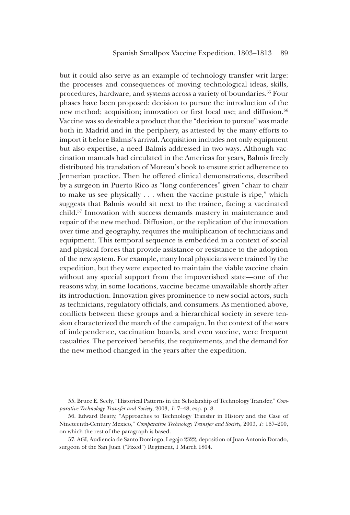but it could also serve as an example of technology transfer writ large: the processes and consequences of moving technological ideas, skills, procedures, hardware, and systems across a variety of boundaries.<sup>55</sup> Four phases have been proposed: decision to pursue the introduction of the new method; acquisition; innovation or first local use; and diffusion.<sup>56</sup> Vaccine was so desirable a product that the "decision to pursue" was made both in Madrid and in the periphery, as attested by the many efforts to import it before Balmis's arrival. Acquisition includes not only equipment but also expertise, a need Balmis addressed in two ways. Although vaccination manuals had circulated in the Americas for years, Balmis freely distributed his translation of Moreau's book to ensure strict adherence to Jennerian practice. Then he offered clinical demonstrations, described by a surgeon in Puerto Rico as "long conferences" given "chair to chair to make us see physically . . . when the vaccine pustule is ripe," which suggests that Balmis would sit next to the trainee, facing a vaccinated child.<sup>57</sup> Innovation with success demands mastery in maintenance and repair of the new method. Diffusion, or the replication of the innovation over time and geography, requires the multiplication of technicians and equipment. This temporal sequence is embedded in a context of social and physical forces that provide assistance or resistance to the adoption of the new system. For example, many local physicians were trained by the expedition, but they were expected to maintain the viable vaccine chain without any special support from the impoverished state—one of the reasons why, in some locations, vaccine became unavailable shortly after its introduction. Innovation gives prominence to new social actors, such as technicians, regulatory officials, and consumers. As mentioned above, conflicts between these groups and a hierarchical society in severe tension characterized the march of the campaign. In the context of the wars of independence, vaccination boards, and even vaccine, were frequent casualties. The perceived benefits, the requirements, and the demand for the new method changed in the years after the expedition.

57. AGI, Audiencia de Santo Domingo, Legajo 2322, deposition of Juan Antonio Dorado, surgeon of the San Juan ("Fixed") Regiment, 1 March 1804.

<sup>55.</sup> Bruce E. Seely, "Historical Patterns in the Scholarship of Technology Transfer," *Comparative Technology Transfer and Society*, 2003, *1* : 7–48; esp. p. 8.

<sup>56.</sup> Edward Beatty, "Approaches to Technology Transfer in History and the Case of Nineteenth-Century Mexico," *Comparative Technology Transfer and Society*, 2003, *1* : 167–200, on which the rest of the paragraph is based.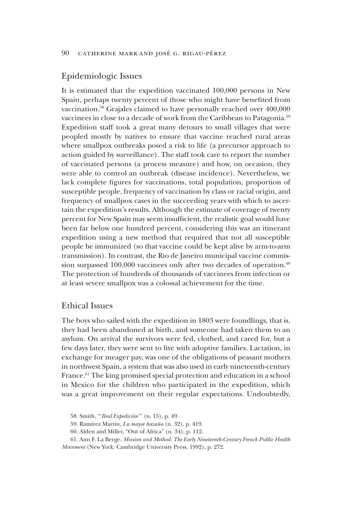# Epidemiologic Issues

It is estimated that the expedition vaccinated 100,000 persons in New Spain, perhaps twenty percent of those who might have benefited from vaccination.<sup>58</sup> Grajales claimed to have personally reached over 400,000 vaccinees in close to a decade of work from the Caribbean to Patagonia.<sup>59</sup> Expedition staff took a great many detours to small villages that were peopled mostly by natives to ensure that vaccine reached rural areas where smallpox outbreaks posed a risk to life (a precursor approach to action guided by surveillance). The staff took care to report the number of vaccinated persons (a process measure) and how, on occasion, they were able to control an outbreak (disease incidence). Nevertheless, we lack complete figures for vaccinations, total population, proportion of susceptible people, frequency of vaccination by class or racial origin, and frequency of smallpox cases in the succeeding years with which to ascertain the expedition's results. Although the estimate of coverage of twenty percent for New Spain may seem insufficient, the realistic goal would have been far below one hundred percent, considering this was an itinerant expedition using a new method that required that not all susceptible people be immunized (so that vaccine could be kept alive by arm-to-arm transmission). In contrast, the Rio de Janeiro municipal vaccine commission surpassed  $100,000$  vaccinees only after two decades of operation.<sup>60</sup> The protection of hundreds of thousands of vaccinees from infection or at least severe smallpox was a colossal achievement for the time.

#### Ethical Issues

The boys who sailed with the expedition in 1803 were foundlings, that is, they had been abandoned at birth, and someone had taken them to an asylum. On arrival the survivors were fed, clothed, and cared for, but a few days later, they were sent to live with adoptive families. Lactation, in exchange for meager pay, was one of the obligations of peasant mothers in northwest Spain, a system that was also used in early nineteenth-century France.<sup>61</sup> The king promised special protection and education in a school in Mexico for the children who participated in the expedition, which was a great improvement on their regular expectations. Undoubtedly,

60. Alden and Miller, "Out of Africa" (n. 34), p. 112.

<sup>58.</sup> Smith, "'*Real Expedición*'" (n. 15), p. 49.

<sup>59.</sup> Ramírez Martín, *La mayor hazaña* (n. 32), p. 419.

<sup>61.</sup> Ann F. La Berge, *Mission and Method: The Early Nineteenth-Century French Public Health Movement* (New York: Cambridge University Press, 1992), p. 272.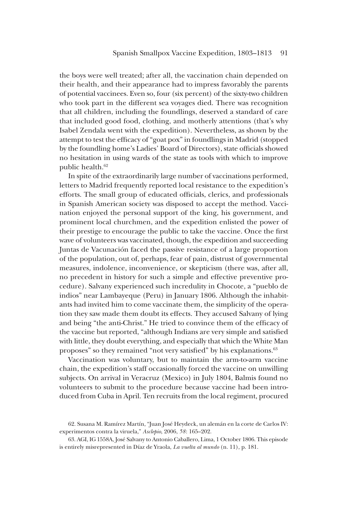the boys were well treated; after all, the vaccination chain depended on their health, and their appearance had to impress favorably the parents of potential vaccinees. Even so, four (six percent) of the sixty-two children who took part in the different sea voyages died. There was recognition that all children, including the foundlings, deserved a standard of care that included good food, clothing, and motherly attentions (that's why Isabel Zendala went with the expedition). Nevertheless, as shown by the attempt to test the efficacy of "goat pox" in foundlings in Madrid (stopped by the foundling home's Ladies' Board of Directors), state officials showed no hesitation in using wards of the state as tools with which to improve public health.<sup>62</sup>

In spite of the extraordinarily large number of vaccinations performed, letters to Madrid frequently reported local resistance to the expedition's efforts. The small group of educated officials, clerics, and professionals in Spanish American society was disposed to accept the method. Vaccination enjoyed the personal support of the king, his government, and prominent local churchmen, and the expedition enlisted the power of their prestige to encourage the public to take the vaccine. Once the first wave of volunteers was vaccinated, though, the expedition and succeeding Juntas de Vacunación faced the passive resistance of a large proportion of the population, out of, perhaps, fear of pain, distrust of governmental measures, indolence, inconvenience, or skepticism (there was, after all, no precedent in history for such a simple and effective preventive procedure). Salvany experienced such incredulity in Chocote, a "pueblo de indios" near Lambayeque (Peru) in January 1806. Although the inhabitants had invited him to come vaccinate them, the simplicity of the operation they saw made them doubt its effects. They accused Salvany of lying and being "the anti-Christ." He tried to convince them of the efficacy of the vaccine but reported, "although Indians are very simple and satisfied with little, they doubt everything, and especially that which the White Man proposes" so they remained "not very satisfied" by his explanations.<sup>63</sup>

Vaccination was voluntary, but to maintain the arm-to-arm vaccine chain, the expedition's staff occasionally forced the vaccine on unwilling subjects. On arrival in Veracruz (Mexico) in July 1804, Balmis found no volunteers to submit to the procedure because vaccine had been introduced from Cuba in April. Ten recruits from the local regiment, procured

<sup>62.</sup> Susana M. Ramírez Martín, "Juan José Heydeck, un alemán en la corte de Carlos IV: experimentos contra la viruela," *Asclepio*, 2006, *58* : 165–202.

<sup>63.</sup> AGI, IG 1558A, José Salvany to Antonio Caballero, Lima, 1 October 1806. This episode is entirely misrepresented in Díaz de Yraola, *La vuelta al mundo* (n. 11), p. 181.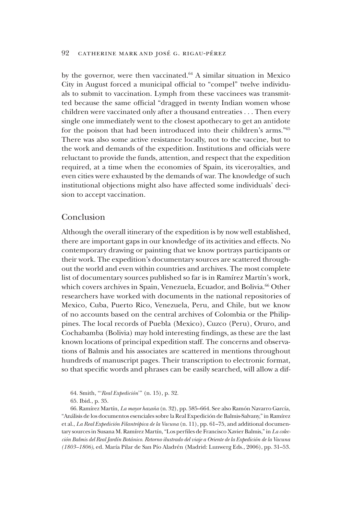by the governor, were then vaccinated. $64$  A similar situation in Mexico City in August forced a municipal official to "compel" twelve individuals to submit to vaccination. Lymph from these vaccinees was transmitted because the same official "dragged in twenty Indian women whose children were vaccinated only after a thousand entreaties . . . Then every single one immediately went to the closest apothecary to get an antidote for the poison that had been introduced into their children's arms."<sup>65</sup> There was also some active resistance locally, not to the vaccine, but to the work and demands of the expedition. Institutions and officials were reluctant to provide the funds, attention, and respect that the expedition required, at a time when the economies of Spain, its viceroyalties, and even cities were exhausted by the demands of war. The knowledge of such institutional objections might also have affected some individuals' decision to accept vaccination.

# Conclusion

Although the overall itinerary of the expedition is by now well established, there are important gaps in our knowledge of its activities and effects. No contemporary drawing or painting that we know portrays participants or their work. The expedition's documentary sources are scattered throughout the world and even within countries and archives. The most complete list of documentary sources published so far is in Ramírez Martín's work, which covers archives in Spain, Venezuela, Ecuador, and Bolivia.<sup>66</sup> Other researchers have worked with documents in the national repositories of Mexico, Cuba, Puerto Rico, Venezuela, Peru, and Chile, but we know of no accounts based on the central archives of Colombia or the Philippines. The local records of Puebla (Mexico), Cuzco (Peru), Oruro, and Cochabamba (Bolivia) may hold interesting findings, as these are the last known locations of principal expedition staff. The concerns and observations of Balmis and his associates are scattered in mentions throughout hundreds of manuscript pages. Their transcription to electronic format, so that specific words and phrases can be easily searched, will allow a dif-

64. Smith, "'*Real Expedición*'" (n. 15), p. 32.

65. Ibid., p. 35.

66. Ramírez Martín, *La mayor hazaña* (n. 32), pp. 585–664. See also Ramón Navarro García, "Análisis de los documentos esenciales sobre la Real Expedición de Balmis-Salvany," in Ramírez et al., *La Real Expedición Filantrópica de la Vacuna* (n. 11), pp. 61–75, and additional documentary sources in Susana M. Ramírez Martín, "Los perfiles de Francisco Xavier Balmis," in *La colección Balmis del Real Jardín Botánico. Retorno ilustrado del viaje a Oriente de la Expedición de la Vacuna (1803–1806)*, ed. María Pilar de San Pío Aladrén (Madrid: Lunwerg Eds., 2006), pp. 31–53.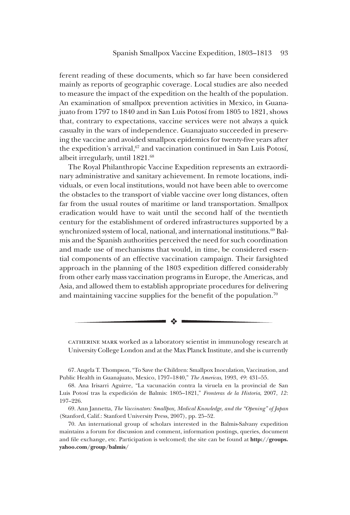ferent reading of these documents, which so far have been considered mainly as reports of geographic coverage. Local studies are also needed to measure the impact of the expedition on the health of the population. An examination of smallpox prevention activities in Mexico, in Guanajuato from 1797 to 1840 and in San Luis Potosí from 1805 to 1821, shows that, contrary to expectations, vaccine services were not always a quick casualty in the wars of independence. Guanajuato succeeded in preserving the vaccine and avoided smallpox epidemics for twenty-five years after the expedition's arrival, $67$  and vaccination continued in San Luis Potosí, albeit irregularly, until 1821.<sup>68</sup>

The Royal Philanthropic Vaccine Expedition represents an extraordinary administrative and sanitary achievement. In remote locations, individuals, or even local institutions, would not have been able to overcome the obstacles to the transport of viable vaccine over long distances, often far from the usual routes of maritime or land transportation. Smallpox eradication would have to wait until the second half of the twentieth century for the establishment of ordered infrastructures supported by a synchronized system of local, national, and international institutions.<sup>69</sup> Balmis and the Spanish authorities perceived the need for such coordination and made use of mechanisms that would, in time, be considered essential components of an effective vaccination campaign. Their farsighted approach in the planning of the 1803 expedition differed considerably from other early mass vaccination programs in Europe, the Americas, and Asia, and allowed them to establish appropriate procedures for delivering and maintaining vaccine supplies for the benefit of the population.<sup>70</sup>

catherine mark worked as a laboratory scientist in immunology research at University College London and at the Max Planck Institute, and she is currently

 $\frac{1}{2}$ 

<sup>67.</sup> Angela T. Thompson, "To Save the Children: Smallpox Inoculation, Vaccination, and Public Health in Guanajuato, Mexico, 1797–1840," *The Americas*, 1993, *49* : 431–55.

<sup>68.</sup> Ana Irisarri Aguirre, "La vacunación contra la viruela en la provincial de San Luis Potosí tras la expedición de Balmis: 1805–1821," *Fronteras de la Historia*, 2007, *12* : 197–226.

<sup>69.</sup> Ann Jannetta, *The Vaccinators: Smallpox, Medical Knowledge, and the "Opening" of Japan* (Stanford, Calif.: Stanford University Press, 2007), pp. 25–52.

<sup>70.</sup> An international group of scholars interested in the Balmis-Salvany expedition maintains a forum for discussion and comment, information postings, queries, document and file exchange, etc. Participation is welcomed; the site can be found at **http://groups. yahoo.com/group/balmis/**